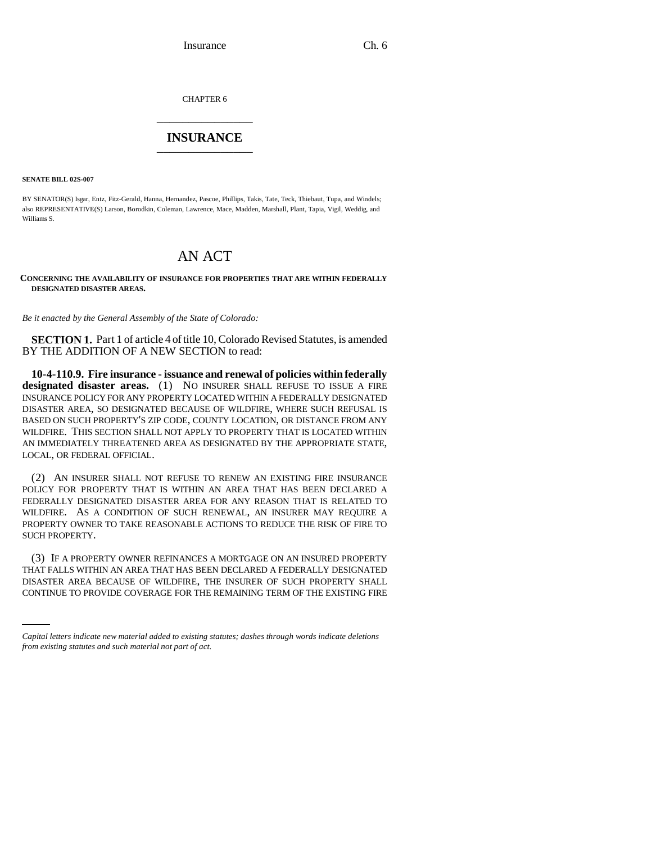CHAPTER 6 \_\_\_\_\_\_\_\_\_\_\_\_\_\_\_

# **INSURANCE** \_\_\_\_\_\_\_\_\_\_\_\_\_\_\_

**SENATE BILL 02S-007**

BY SENATOR(S) Isgar, Entz, Fitz-Gerald, Hanna, Hernandez, Pascoe, Phillips, Takis, Tate, Teck, Thiebaut, Tupa, and Windels; also REPRESENTATIVE(S) Larson, Borodkin, Coleman, Lawrence, Mace, Madden, Marshall, Plant, Tapia, Vigil, Weddig, and Williams S.

# AN ACT

### **CONCERNING THE AVAILABILITY OF INSURANCE FOR PROPERTIES THAT ARE WITHIN FEDERALLY DESIGNATED DISASTER AREAS.**

*Be it enacted by the General Assembly of the State of Colorado:*

**SECTION 1.** Part 1 of article 4 of title 10, Colorado Revised Statutes, is amended BY THE ADDITION OF A NEW SECTION to read:

**10-4-110.9. Fire insurance - issuance and renewal of policies within federally designated disaster areas.** (1) NO INSURER SHALL REFUSE TO ISSUE A FIRE INSURANCE POLICY FOR ANY PROPERTY LOCATED WITHIN A FEDERALLY DESIGNATED DISASTER AREA, SO DESIGNATED BECAUSE OF WILDFIRE, WHERE SUCH REFUSAL IS BASED ON SUCH PROPERTY'S ZIP CODE, COUNTY LOCATION, OR DISTANCE FROM ANY WILDFIRE. THIS SECTION SHALL NOT APPLY TO PROPERTY THAT IS LOCATED WITHIN AN IMMEDIATELY THREATENED AREA AS DESIGNATED BY THE APPROPRIATE STATE, LOCAL, OR FEDERAL OFFICIAL.

(2) AN INSURER SHALL NOT REFUSE TO RENEW AN EXISTING FIRE INSURANCE POLICY FOR PROPERTY THAT IS WITHIN AN AREA THAT HAS BEEN DECLARED A FEDERALLY DESIGNATED DISASTER AREA FOR ANY REASON THAT IS RELATED TO WILDFIRE. AS A CONDITION OF SUCH RENEWAL, AN INSURER MAY REQUIRE A PROPERTY OWNER TO TAKE REASONABLE ACTIONS TO REDUCE THE RISK OF FIRE TO SUCH PROPERTY.

THAT FALLS WITHIN AN AREA THAT HAS BEEN DECLARED A FEDERALLY DESIGNATED (3) IF A PROPERTY OWNER REFINANCES A MORTGAGE ON AN INSURED PROPERTY DISASTER AREA BECAUSE OF WILDFIRE, THE INSURER OF SUCH PROPERTY SHALL CONTINUE TO PROVIDE COVERAGE FOR THE REMAINING TERM OF THE EXISTING FIRE

*Capital letters indicate new material added to existing statutes; dashes through words indicate deletions from existing statutes and such material not part of act.*